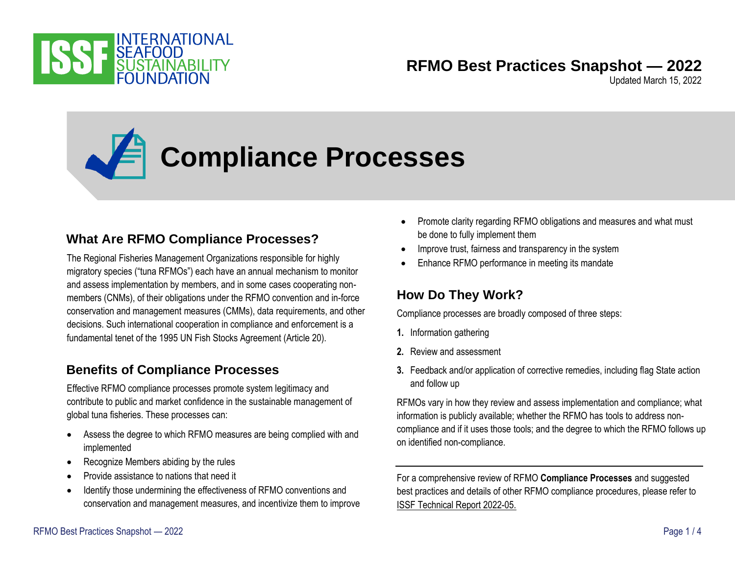

### **RFMO Best Practices Snapshot — 2022**

Updated March 15, 2022

# **Compliance Processes**

#### **What Are RFMO Compliance Processes?**

The Regional Fisheries Management Organizations responsible for highly migratory species ("tuna RFMOs") each have an annual mechanism to monitor and assess implementation by members, and in some cases cooperating nonmembers (CNMs), of their obligations under the RFMO convention and in-force conservation and management measures (CMMs), data requirements, and other decisions. Such international cooperation in compliance and enforcement is a fundamental tenet of the 1995 UN Fish Stocks Agreement (Article 20).

#### **Benefits of Compliance Processes**

Effective RFMO compliance processes promote system legitimacy and contribute to public and market confidence in the sustainable management of global tuna fisheries. These processes can:

- Assess the degree to which RFMO measures are being complied with and implemented
- Recognize Members abiding by the rules
- Provide assistance to nations that need it
- Identify those undermining the effectiveness of RFMO conventions and conservation and management measures, and incentivize them to improve
- Promote clarity regarding RFMO obligations and measures and what must be done to fully implement them
- Improve trust, fairness and transparency in the system
- Enhance RFMO performance in meeting its mandate

#### **How Do They Work?**

Compliance processes are broadly composed of three steps:

- **1.** Information gathering
- **2.** Review and assessment
- **3.** Feedback and/or application of corrective remedies, including flag State action and follow up

RFMOs vary in how they review and assess implementation and compliance; what information is publicly available; whether the RFMO has tools to address noncompliance and if it uses those tools; and the degree to which the RFMO follows up on identified non-compliance.

For a comprehensive review of RFMO **Compliance Processes** and suggested best practices and details of other RFMO compliance procedures, please refer to [ISSF Technical Report 2022-05.](https://www.iss-foundation.org/research-advocacy-recommendations/our-scientific-program/best-practices-reports/download-info/issf-2022-05-tuna-rfmo-compliance-assessment-processes-a-comparative-analysis-to-identify-best-practices/)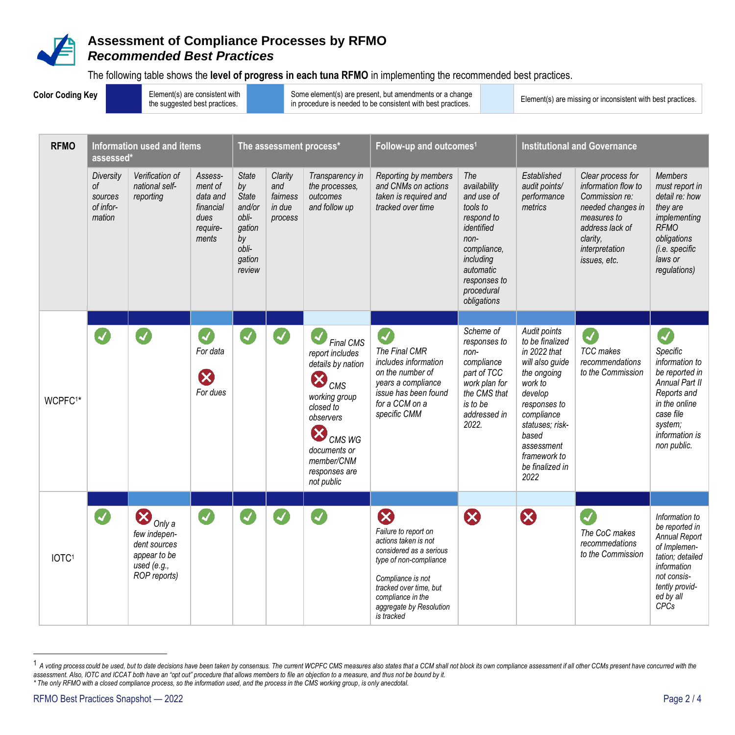

The following table shows the **level of progress in each tuna RFMO** in implementing the recommended best practices.

| <b>Color Coding Key</b> |                     |                                                   |                                                                                                      | Element(s) are consistent with<br>the suggested best practices.          |                                                                                                    |                                                 |                                                                                                                                                                                                                                     | Some element(s) are present, but amendments or a change<br>in procedure is needed to be consistent with best practices.                                                                                                                 | Element(s) are missing or inconsistent with best practices.                                                                                                               |                                                                                                                                                                                                                            |                                                                                                                                                                 |                                                                                                                                                                                 |
|-------------------------|---------------------|---------------------------------------------------|------------------------------------------------------------------------------------------------------|--------------------------------------------------------------------------|----------------------------------------------------------------------------------------------------|-------------------------------------------------|-------------------------------------------------------------------------------------------------------------------------------------------------------------------------------------------------------------------------------------|-----------------------------------------------------------------------------------------------------------------------------------------------------------------------------------------------------------------------------------------|---------------------------------------------------------------------------------------------------------------------------------------------------------------------------|----------------------------------------------------------------------------------------------------------------------------------------------------------------------------------------------------------------------------|-----------------------------------------------------------------------------------------------------------------------------------------------------------------|---------------------------------------------------------------------------------------------------------------------------------------------------------------------------------|
|                         | <b>RFMO</b>         | Information used and items<br>assessed*           |                                                                                                      |                                                                          | The assessment process*                                                                            |                                                 |                                                                                                                                                                                                                                     | Follow-up and outcomes <sup>1</sup>                                                                                                                                                                                                     |                                                                                                                                                                           | <b>Institutional and Governance</b>                                                                                                                                                                                        |                                                                                                                                                                 |                                                                                                                                                                                 |
|                         |                     | Diversity<br>0f<br>sources<br>of infor-<br>mation | Verification of<br>national self-<br>reporting                                                       | Assess-<br>ment of<br>data and<br>financial<br>dues<br>require-<br>ments | <b>State</b><br>by<br><b>State</b><br>and/or<br>obli-<br>gation<br>by<br>obli-<br>gation<br>review | Clarity<br>and<br>fairness<br>in due<br>process | Transparency in<br>the processes,<br>outcomes<br>and follow up                                                                                                                                                                      | Reporting by members<br>and CNMs on actions<br>taken is required and<br>tracked over time                                                                                                                                               | The<br>availability<br>and use of<br>tools to<br>respond to<br>identified<br>$non-$<br>compliance,<br>including<br>automatic<br>responses to<br>procedural<br>obligations | Established<br>audit points/<br>performance<br>metrics                                                                                                                                                                     | Clear process for<br>information flow to<br>Commission re:<br>needed changes in<br>measures to<br>address lack of<br>clarity,<br>interpretation<br>issues, etc. | <b>Members</b><br>must report in<br>detail re: how<br>they are<br>implementing<br><b>RFMO</b><br>obligations<br>(i.e. specific<br>laws or<br>regulations)                       |
|                         | WCPFC <sup>1*</sup> |                                                   |                                                                                                      | $\blacktriangledown$<br>For data<br>$\boldsymbol{\Omega}$<br>For dues    |                                                                                                    | $\boldsymbol{z}$                                | <b>Final CMS</b><br>report includes<br>details by nation<br>$\bm{\mathsf{X}}$<br>CMS<br>working group<br>closed to<br>observers<br>$\boldsymbol{\mathsf{x}}$<br>CMS WG<br>documents or<br>member/CNM<br>responses are<br>not public | $\blacktriangledown$<br>The Final CMR<br>includes information<br>on the number of<br>years a compliance<br>issue has been found<br>for a CCM on a<br>specific CMM                                                                       | Scheme of<br>responses to<br>non-<br>compliance<br>part of TCC<br>work plan for<br>the CMS that<br>is to be<br>addressed in<br>2022.                                      | Audit points<br>to be finalized<br>in 2022 that<br>will also guide<br>the ongoing<br>work to<br>develop<br>responses to<br>compliance<br>statuses; risk-<br>based<br>assessment<br>framework to<br>be finalized in<br>2022 | Ø<br><b>TCC</b> makes<br>recommendations<br>to the Commission                                                                                                   | $\blacktriangleleft$<br>Specific<br>information to<br>be reported in<br>Annual Part II<br>Reports and<br>in the online<br>case file<br>system;<br>information is<br>non public. |
|                         |                     |                                                   |                                                                                                      |                                                                          |                                                                                                    |                                                 |                                                                                                                                                                                                                                     |                                                                                                                                                                                                                                         |                                                                                                                                                                           |                                                                                                                                                                                                                            |                                                                                                                                                                 |                                                                                                                                                                                 |
|                         | IOTC <sup>1</sup>   |                                                   | $\bigotimes$ Only a<br>few indepen-<br>dent sources<br>appear to be<br>used $(e.g.,$<br>ROP reports) | $\overline{\mathcal{A}}$                                                 |                                                                                                    |                                                 |                                                                                                                                                                                                                                     | $\boldsymbol{\Omega}$<br>Failure to report on<br>actions taken is not<br>considered as a serious<br>type of non-compliance<br>Compliance is not<br>tracked over time, but<br>compliance in the<br>aggregate by Resolution<br>is tracked | $\boldsymbol{\Omega}$                                                                                                                                                     | $\boldsymbol{\Omega}$                                                                                                                                                                                                      | The CoC makes<br>recommedations<br>to the Commission                                                                                                            | Information to<br>be reported in<br><b>Annual Report</b><br>of Implemen-<br>tation; detailed<br>information<br>not consis-<br>tently provid-<br>ed by all<br>CPCs               |

<sup>1</sup> A voting process could be used, but to date decisions have been taken by consensus. The current WCPFC CMS measures also states that a CCM shall not block its own compliance assessment if all other CCMs present have concu assessment. Also, IOTC and ICCAT both have an "opt out" procedure that allows members to file an objection to a measure, and thus not be bound by it. *\* The only RFMO with a closed compliance process, so the information used, and the process in the CMS working group, is only anecdotal.*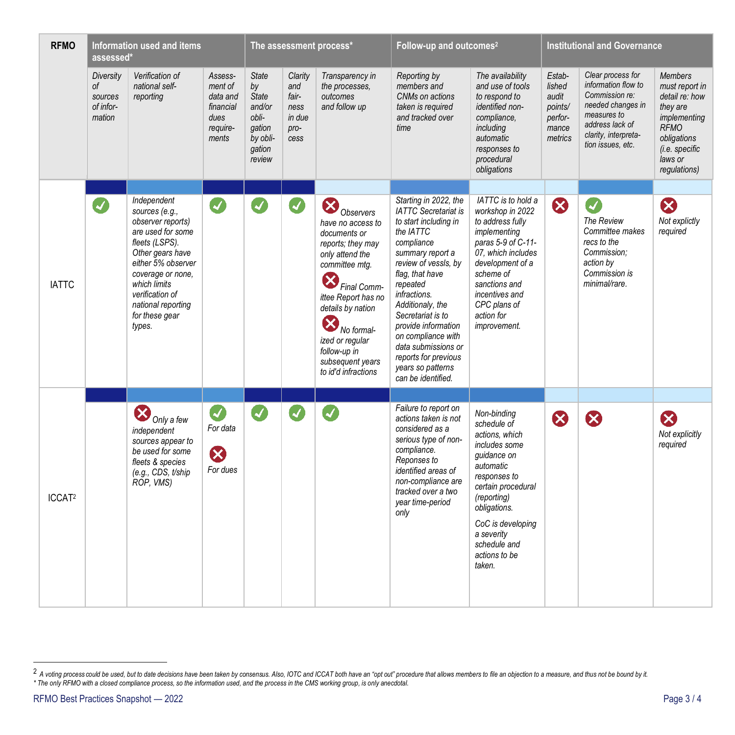| <b>RFMO</b>        | Information used and items<br>assessed*           |                                                                                                                                                                                                                                               |                                                                          | The assessment process*                                                                         |                                                           |                                                                                                                                                                                                                                                                                                                | Follow-up and outcomes <sup>2</sup>                                                                                                                                                                                                                                                                                                                                                 |                                                                                                                                                                                                                                              | <b>Institutional and Governance</b>                                 |                                                                                                                                                                |                                                                                                                                                           |
|--------------------|---------------------------------------------------|-----------------------------------------------------------------------------------------------------------------------------------------------------------------------------------------------------------------------------------------------|--------------------------------------------------------------------------|-------------------------------------------------------------------------------------------------|-----------------------------------------------------------|----------------------------------------------------------------------------------------------------------------------------------------------------------------------------------------------------------------------------------------------------------------------------------------------------------------|-------------------------------------------------------------------------------------------------------------------------------------------------------------------------------------------------------------------------------------------------------------------------------------------------------------------------------------------------------------------------------------|----------------------------------------------------------------------------------------------------------------------------------------------------------------------------------------------------------------------------------------------|---------------------------------------------------------------------|----------------------------------------------------------------------------------------------------------------------------------------------------------------|-----------------------------------------------------------------------------------------------------------------------------------------------------------|
|                    | Diversity<br>0f<br>sources<br>of infor-<br>mation | Verification of<br>national self-<br>reporting                                                                                                                                                                                                | Assess-<br>ment of<br>data and<br>financial<br>dues<br>require-<br>ments | <b>State</b><br>by<br><b>State</b><br>and/or<br>obli-<br>gation<br>by obli-<br>gation<br>review | Clarity<br>and<br>fair-<br>ness<br>in due<br>pro-<br>cess | Transparency in<br>the processes,<br>outcomes<br>and follow up                                                                                                                                                                                                                                                 | Reporting by<br>members and<br>CNMs on actions<br>taken is required<br>and tracked over<br>time                                                                                                                                                                                                                                                                                     | The availability<br>and use of tools<br>to respond to<br>identified non-<br>compliance,<br>including<br>automatic<br>responses to<br>procedural<br>obligations                                                                               | Estab-<br>lished<br>audit<br>points/<br>perfor-<br>mance<br>metrics | Clear process for<br>information flow to<br>Commission re:<br>needed changes in<br>measures to<br>address lack of<br>clarity, interpreta-<br>tion issues, etc. | <b>Members</b><br>must report in<br>detail re: how<br>they are<br>implementing<br><b>RFMO</b><br>obligations<br>(i.e. specific<br>laws or<br>regulations) |
|                    |                                                   |                                                                                                                                                                                                                                               |                                                                          |                                                                                                 |                                                           |                                                                                                                                                                                                                                                                                                                |                                                                                                                                                                                                                                                                                                                                                                                     |                                                                                                                                                                                                                                              |                                                                     |                                                                                                                                                                |                                                                                                                                                           |
| <b>IATTC</b>       | $\blacktriangledown$                              | Independent<br>sources (e.g.,<br>observer reports)<br>are used for some<br>fleets (LSPS).<br>Other gears have<br>either 5% observer<br>coverage or none,<br>which limits<br>verification of<br>national reporting<br>for these gear<br>types. | $\blacktriangledown$                                                     | $\blacktriangleleft$                                                                            | Ø                                                         | $\boldsymbol{\varnothing}$<br>Observers<br>have no access to<br>documents or<br>reports; they may<br>only attend the<br>committee mtg.<br>$\bm{\times}$<br>Final Comm-<br>ittee Report has no<br>details by nation<br>No formal-<br>ized or regular<br>follow-up in<br>subsequent years<br>to id'd infractions | Starting in 2022, the<br><b>IATTC</b> Secretariat is<br>to start including in<br>the IATTC<br>compliance<br>summary report a<br>review of vessls, by<br>flag, that have<br>repeated<br>infractions.<br>Additionaly, the<br>Secretariat is to<br>provide information<br>on compliance with<br>data submissions or<br>reports for previous<br>years so patterns<br>can be identified. | IATTC is to hold a<br>workshop in 2022<br>to address fully<br>implementing<br>paras 5-9 of C-11-<br>07, which includes<br>development of a<br>scheme of<br>sanctions and<br>incentives and<br>CPC plans of<br>action for<br>improvement.     | $\boldsymbol{\mathcal{B}}$                                          | $\blacktriangleleft$<br>The Review<br>Committee makes<br>recs to the<br>Commission;<br>action by<br>Commission is<br>minimal/rare.                             | B<br>Not explictly<br>required                                                                                                                            |
|                    |                                                   |                                                                                                                                                                                                                                               |                                                                          |                                                                                                 |                                                           |                                                                                                                                                                                                                                                                                                                |                                                                                                                                                                                                                                                                                                                                                                                     |                                                                                                                                                                                                                                              |                                                                     |                                                                                                                                                                |                                                                                                                                                           |
| ICCAT <sup>2</sup> |                                                   | Only a few<br>independent<br>sources appear to<br>be used for some<br>fleets & species<br>(e.g., CDS, t/ship<br>ROP, VMS)                                                                                                                     | $\boldsymbol{Z}$<br>For data<br>$\boldsymbol{\omega}$<br>For dues        | Ø                                                                                               | $\blacktriangleright$                                     |                                                                                                                                                                                                                                                                                                                | Failure to report on<br>actions taken is not<br>considered as a<br>serious type of non-<br>compliance.<br>Reponses to<br>identified areas of<br>non-compliance are<br>tracked over a two<br>year time-period<br>only                                                                                                                                                                | Non-binding<br>schedule of<br>actions, which<br>includes some<br>guidance on<br>automatic<br>responses to<br>certain procedural<br>(reporting)<br>obligations.<br>CoC is developing<br>a severity<br>schedule and<br>actions to be<br>taken. | $\boldsymbol{\Omega}$                                               |                                                                                                                                                                | Ø<br>Not explicitly<br>required                                                                                                                           |

<sup>&</sup>lt;sup>2</sup> A voting process could be used, but to date decisions have been taken by consensus. Also, IOTC and ICCAT both have an "opt out" procedure that allows members to file an objection to a measure, and thus not be bound by *\* The only RFMO with a closed compliance process, so the information used, and the process in the CMS working group, is only anecdotal.*